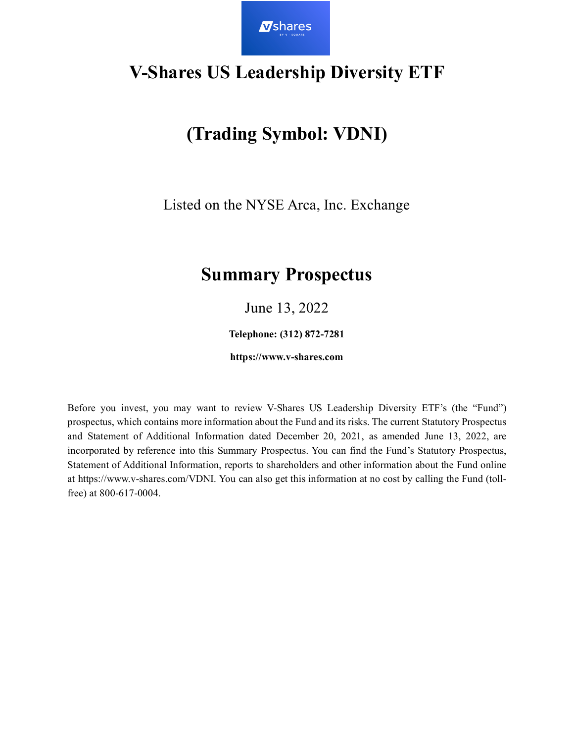

## **V-Shares US Leadership Diversity ETF**

# **(Trading Symbol: VDNI)**

Listed on the NYSE Arca, Inc. Exchange

## **Summary Prospectus**

June 13, 2022

**Telephone: (312) 872-7281**

**https://www.v-shares.com**

Before you invest, you may want to review V-Shares US Leadership Diversity ETF's (the "Fund") prospectus, which contains more information about the Fund and its risks. The current Statutory Prospectus and Statement of Additional Information dated December 20, 2021, as amended June 13, 2022, are incorporated by reference into this Summary Prospectus. You can find the Fund's Statutory Prospectus, Statement of Additional Information, reports to shareholders and other information about the Fund online at https://www.v-shares.com/VDNI. You can also get this information at no cost by calling the Fund (tollfree) at 800-617-0004.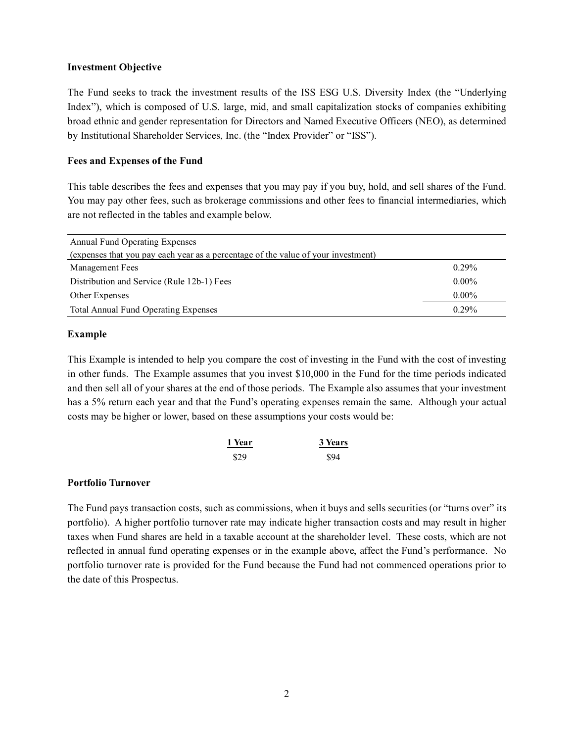#### **Investment Objective**

The Fund seeks to track the investment results of the ISS ESG U.S. Diversity Index (the "Underlying Index"), which is composed of U.S. large, mid, and small capitalization stocks of companies exhibiting broad ethnic and gender representation for Directors and Named Executive Officers (NEO), as determined by Institutional Shareholder Services, Inc. (the "Index Provider" or "ISS").

### **Fees and Expenses of the Fund**

This table describes the fees and expenses that you may pay if you buy, hold, and sell shares of the Fund. You may pay other fees, such as brokerage commissions and other fees to financial intermediaries, which are not reflected in the tables and example below.

| <b>Annual Fund Operating Expenses</b>                                             |          |
|-----------------------------------------------------------------------------------|----------|
| (expenses that you pay each year as a percentage of the value of your investment) |          |
| Management Fees                                                                   | $0.29\%$ |
| Distribution and Service (Rule 12b-1) Fees                                        | $0.00\%$ |
| Other Expenses                                                                    | $0.00\%$ |
| <b>Total Annual Fund Operating Expenses</b>                                       | 0.29%    |

### **Example**

This Example is intended to help you compare the cost of investing in the Fund with the cost of investing in other funds. The Example assumes that you invest \$10,000 in the Fund for the time periods indicated and then sell all of your shares at the end of those periods. The Example also assumes that your investment has a 5% return each year and that the Fund's operating expenses remain the same. Although your actual costs may be higher or lower, based on these assumptions your costs would be:

| 1 Year | 3 Years |
|--------|---------|
| \$29   | \$94    |

## **Portfolio Turnover**

The Fund pays transaction costs, such as commissions, when it buys and sells securities (or "turns over" its portfolio). A higher portfolio turnover rate may indicate higher transaction costs and may result in higher taxes when Fund shares are held in a taxable account at the shareholder level. These costs, which are not reflected in annual fund operating expenses or in the example above, affect the Fund's performance. No portfolio turnover rate is provided for the Fund because the Fund had not commenced operations prior to the date of this Prospectus.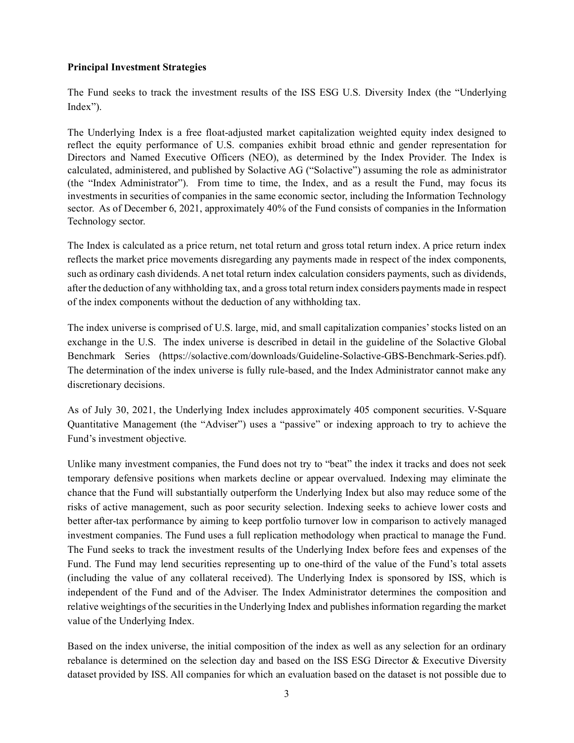## **Principal Investment Strategies**

The Fund seeks to track the investment results of the ISS ESG U.S. Diversity Index (the "Underlying Index").

The Underlying Index is a free float-adjusted market capitalization weighted equity index designed to reflect the equity performance of U.S. companies exhibit broad ethnic and gender representation for Directors and Named Executive Officers (NEO), as determined by the Index Provider. The Index is calculated, administered, and published by Solactive AG ("Solactive") assuming the role as administrator (the "Index Administrator"). From time to time, the Index, and as a result the Fund, may focus its investments in securities of companies in the same economic sector, including the Information Technology sector. As of December 6, 2021, approximately 40% of the Fund consists of companies in the Information Technology sector.

The Index is calculated as a price return, net total return and gross total return index. A price return index reflects the market price movements disregarding any payments made in respect of the index components, such as ordinary cash dividends. A net total return index calculation considers payments, such as dividends, after the deduction of any withholding tax, and a gross total return index considers payments made in respect of the index components without the deduction of any withholding tax.

The index universe is comprised of U.S. large, mid, and small capitalization companies' stocks listed on an exchange in the U.S. The index universe is described in detail in the guideline of the Solactive Global Benchmark Series (https://solactive.com/downloads/Guideline-Solactive-GBS-Benchmark-Series.pdf). The determination of the index universe is fully rule-based, and the Index Administrator cannot make any discretionary decisions.

As of July 30, 2021, the Underlying Index includes approximately 405 component securities. V-Square Quantitative Management (the "Adviser") uses a "passive" or indexing approach to try to achieve the Fund's investment objective.

Unlike many investment companies, the Fund does not try to "beat" the index it tracks and does not seek temporary defensive positions when markets decline or appear overvalued. Indexing may eliminate the chance that the Fund will substantially outperform the Underlying Index but also may reduce some of the risks of active management, such as poor security selection. Indexing seeks to achieve lower costs and better after-tax performance by aiming to keep portfolio turnover low in comparison to actively managed investment companies. The Fund uses a full replication methodology when practical to manage the Fund. The Fund seeks to track the investment results of the Underlying Index before fees and expenses of the Fund. The Fund may lend securities representing up to one-third of the value of the Fund's total assets (including the value of any collateral received). The Underlying Index is sponsored by ISS, which is independent of the Fund and of the Adviser. The Index Administrator determines the composition and relative weightings of the securities in the Underlying Index and publishes information regarding the market value of the Underlying Index.

Based on the index universe, the initial composition of the index as well as any selection for an ordinary rebalance is determined on the selection day and based on the ISS ESG Director & Executive Diversity dataset provided by ISS. All companies for which an evaluation based on the dataset is not possible due to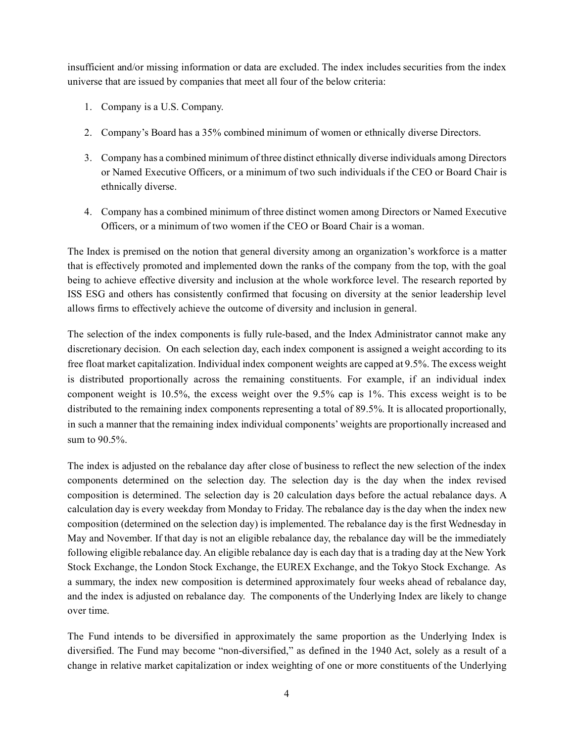insufficient and/or missing information or data are excluded. The index includes securities from the index universe that are issued by companies that meet all four of the below criteria:

- 1. Company is a U.S. Company.
- 2. Company's Board has a 35% combined minimum of women or ethnically diverse Directors.
- 3. Company has a combined minimum of three distinct ethnically diverse individuals among Directors or Named Executive Officers, or a minimum of two such individuals if the CEO or Board Chair is ethnically diverse.
- 4. Company has a combined minimum of three distinct women among Directors or Named Executive Officers, or a minimum of two women if the CEO or Board Chair is a woman.

The Index is premised on the notion that general diversity among an organization's workforce is a matter that is effectively promoted and implemented down the ranks of the company from the top, with the goal being to achieve effective diversity and inclusion at the whole workforce level. The research reported by ISS ESG and others has consistently confirmed that focusing on diversity at the senior leadership level allows firms to effectively achieve the outcome of diversity and inclusion in general.

The selection of the index components is fully rule-based, and the Index Administrator cannot make any discretionary decision. On each selection day, each index component is assigned a weight according to its free float market capitalization. Individual index component weights are capped at 9.5%. The excess weight is distributed proportionally across the remaining constituents. For example, if an individual index component weight is 10.5%, the excess weight over the 9.5% cap is 1%. This excess weight is to be distributed to the remaining index components representing a total of 89.5%. It is allocated proportionally, in such a manner that the remaining index individual components' weights are proportionally increased and sum to 90.5%.

The index is adjusted on the rebalance day after close of business to reflect the new selection of the index components determined on the selection day. The selection day is the day when the index revised composition is determined. The selection day is 20 calculation days before the actual rebalance days. A calculation day is every weekday from Monday to Friday. The rebalance day is the day when the index new composition (determined on the selection day) is implemented. The rebalance day is the first Wednesday in May and November. If that day is not an eligible rebalance day, the rebalance day will be the immediately following eligible rebalance day. An eligible rebalance day is each day that is a trading day at the New York Stock Exchange, the London Stock Exchange, the EUREX Exchange, and the Tokyo Stock Exchange. As a summary, the index new composition is determined approximately four weeks ahead of rebalance day, and the index is adjusted on rebalance day. The components of the Underlying Index are likely to change over time.

The Fund intends to be diversified in approximately the same proportion as the Underlying Index is diversified. The Fund may become "non-diversified," as defined in the 1940 Act, solely as a result of a change in relative market capitalization or index weighting of one or more constituents of the Underlying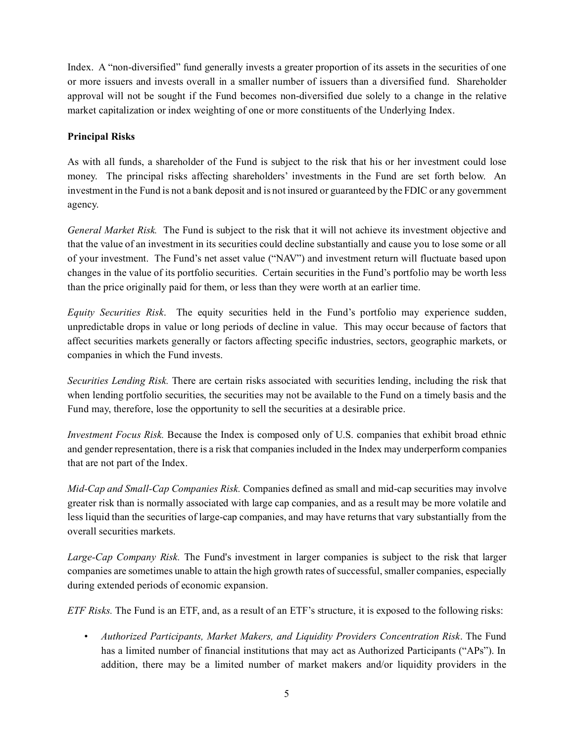Index. A "non-diversified" fund generally invests a greater proportion of its assets in the securities of one or more issuers and invests overall in a smaller number of issuers than a diversified fund. Shareholder approval will not be sought if the Fund becomes non-diversified due solely to a change in the relative market capitalization or index weighting of one or more constituents of the Underlying Index.

## **Principal Risks**

As with all funds, a shareholder of the Fund is subject to the risk that his or her investment could lose money. The principal risks affecting shareholders' investments in the Fund are set forth below. An investment in the Fund is not a bank deposit and is not insured or guaranteed by the FDIC or any government agency.

*General Market Risk.* The Fund is subject to the risk that it will not achieve its investment objective and that the value of an investment in its securities could decline substantially and cause you to lose some or all of your investment. The Fund's net asset value ("NAV") and investment return will fluctuate based upon changes in the value of its portfolio securities. Certain securities in the Fund's portfolio may be worth less than the price originally paid for them, or less than they were worth at an earlier time.

*Equity Securities Risk*. The equity securities held in the Fund's portfolio may experience sudden, unpredictable drops in value or long periods of decline in value. This may occur because of factors that affect securities markets generally or factors affecting specific industries, sectors, geographic markets, or companies in which the Fund invests.

*Securities Lending Risk.* There are certain risks associated with securities lending, including the risk that when lending portfolio securities, the securities may not be available to the Fund on a timely basis and the Fund may, therefore, lose the opportunity to sell the securities at a desirable price.

*Investment Focus Risk.* Because the Index is composed only of U.S. companies that exhibit broad ethnic and gender representation, there is a risk that companies included in the Index may underperform companies that are not part of the Index.

*Mid-Cap and Small-Cap Companies Risk.* Companies defined as small and mid-cap securities may involve greater risk than is normally associated with large cap companies, and as a result may be more volatile and less liquid than the securities of large-cap companies, and may have returns that vary substantially from the overall securities markets.

*Large-Cap Company Risk.* The Fund's investment in larger companies is subject to the risk that larger companies are sometimes unable to attain the high growth rates of successful, smaller companies, especially during extended periods of economic expansion.

*ETF Risks.* The Fund is an ETF, and, as a result of an ETF's structure, it is exposed to the following risks:

• *Authorized Participants, Market Makers, and Liquidity Providers Concentration Risk*. The Fund has a limited number of financial institutions that may act as Authorized Participants ("APs"). In addition, there may be a limited number of market makers and/or liquidity providers in the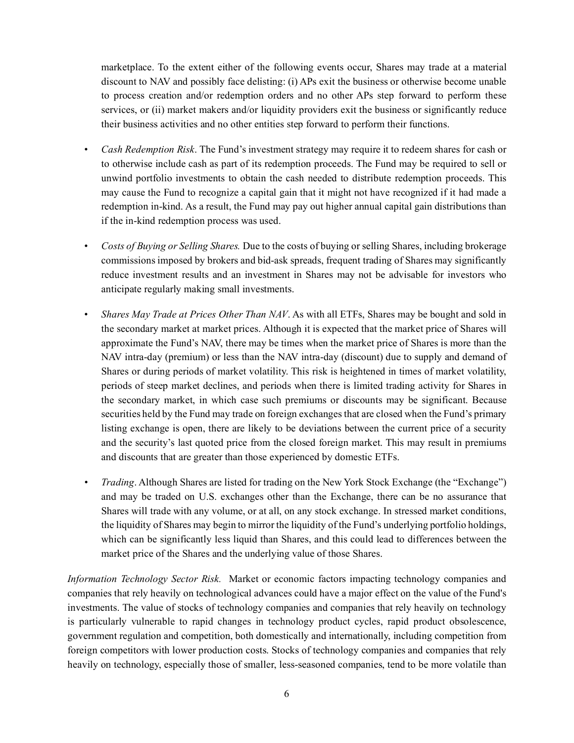marketplace. To the extent either of the following events occur, Shares may trade at a material discount to NAV and possibly face delisting: (i) APs exit the business or otherwise become unable to process creation and/or redemption orders and no other APs step forward to perform these services, or (ii) market makers and/or liquidity providers exit the business or significantly reduce their business activities and no other entities step forward to perform their functions.

- *Cash Redemption Risk*. The Fund's investment strategy may require it to redeem shares for cash or to otherwise include cash as part of its redemption proceeds. The Fund may be required to sell or unwind portfolio investments to obtain the cash needed to distribute redemption proceeds. This may cause the Fund to recognize a capital gain that it might not have recognized if it had made a redemption in-kind. As a result, the Fund may pay out higher annual capital gain distributions than if the in-kind redemption process was used.
- *Costs of Buying or Selling Shares.* Due to the costs of buying or selling Shares, including brokerage commissions imposed by brokers and bid-ask spreads, frequent trading of Shares may significantly reduce investment results and an investment in Shares may not be advisable for investors who anticipate regularly making small investments.
- *Shares May Trade at Prices Other Than NAV*. As with all ETFs, Shares may be bought and sold in the secondary market at market prices. Although it is expected that the market price of Shares will approximate the Fund's NAV, there may be times when the market price of Shares is more than the NAV intra-day (premium) or less than the NAV intra-day (discount) due to supply and demand of Shares or during periods of market volatility. This risk is heightened in times of market volatility, periods of steep market declines, and periods when there is limited trading activity for Shares in the secondary market, in which case such premiums or discounts may be significant. Because securities held by the Fund may trade on foreign exchanges that are closed when the Fund's primary listing exchange is open, there are likely to be deviations between the current price of a security and the security's last quoted price from the closed foreign market. This may result in premiums and discounts that are greater than those experienced by domestic ETFs.
- *Trading*. Although Shares are listed for trading on the New York Stock Exchange (the "Exchange") and may be traded on U.S. exchanges other than the Exchange, there can be no assurance that Shares will trade with any volume, or at all, on any stock exchange. In stressed market conditions, the liquidity of Shares may begin to mirror the liquidity of the Fund's underlying portfolio holdings, which can be significantly less liquid than Shares, and this could lead to differences between the market price of the Shares and the underlying value of those Shares.

*Information Technology Sector Risk.* Market or economic factors impacting technology companies and companies that rely heavily on technological advances could have a major effect on the value of the Fund's investments. The value of stocks of technology companies and companies that rely heavily on technology is particularly vulnerable to rapid changes in technology product cycles, rapid product obsolescence, government regulation and competition, both domestically and internationally, including competition from foreign competitors with lower production costs. Stocks of technology companies and companies that rely heavily on technology, especially those of smaller, less-seasoned companies, tend to be more volatile than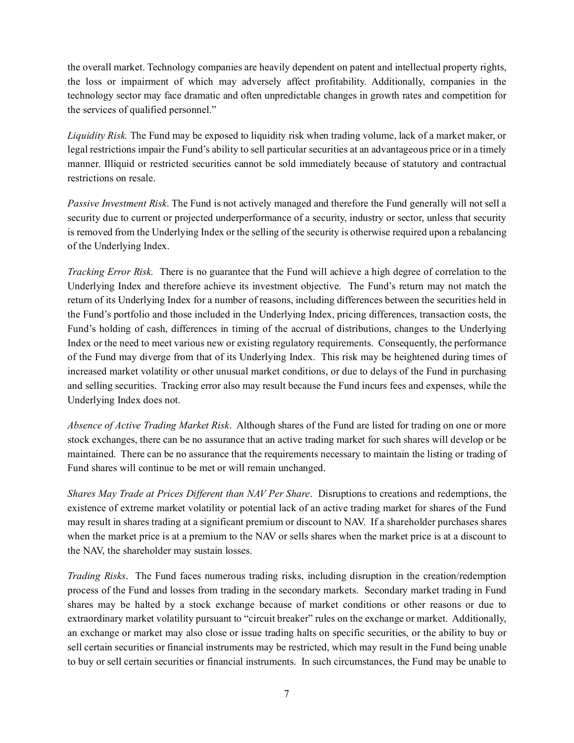the overall market. Technology companies are heavily dependent on patent and intellectual property rights, the loss or impairment of which may adversely affect profitability. Additionally, companies in the technology sector may face dramatic and often unpredictable changes in growth rates and competition for the services of qualified personnel."

*Liquidity Risk.* The Fund may be exposed to liquidity risk when trading volume, lack of a market maker, or legal restrictions impair the Fund's ability to sell particular securities at an advantageous price or in a timely manner. Illiquid or restricted securities cannot be sold immediately because of statutory and contractual restrictions on resale.

*Passive Investment Risk*. The Fund is not actively managed and therefore the Fund generally will not sell a security due to current or projected underperformance of a security, industry or sector, unless that security is removed from the Underlying Index or the selling of the security is otherwise required upon a rebalancing of the Underlying Index.

*Tracking Error Risk.* There is no guarantee that the Fund will achieve a high degree of correlation to the Underlying Index and therefore achieve its investment objective. The Fund's return may not match the return of its Underlying Index for a number of reasons, including differences between the securities held in the Fund's portfolio and those included in the Underlying Index, pricing differences, transaction costs, the Fund's holding of cash, differences in timing of the accrual of distributions, changes to the Underlying Index or the need to meet various new or existing regulatory requirements. Consequently, the performance of the Fund may diverge from that of its Underlying Index. This risk may be heightened during times of increased market volatility or other unusual market conditions, or due to delays of the Fund in purchasing and selling securities. Tracking error also may result because the Fund incurs fees and expenses, while the Underlying Index does not.

*Absence of Active Trading Market Risk*. Although shares of the Fund are listed for trading on one or more stock exchanges, there can be no assurance that an active trading market for such shares will develop or be maintained. There can be no assurance that the requirements necessary to maintain the listing or trading of Fund shares will continue to be met or will remain unchanged.

*Shares May Trade at Prices Different than NAV Per Share*. Disruptions to creations and redemptions, the existence of extreme market volatility or potential lack of an active trading market for shares of the Fund may result in shares trading at a significant premium or discount to NAV. If a shareholder purchases shares when the market price is at a premium to the NAV or sells shares when the market price is at a discount to the NAV, the shareholder may sustain losses.

*Trading Risks*. The Fund faces numerous trading risks, including disruption in the creation/redemption process of the Fund and losses from trading in the secondary markets. Secondary market trading in Fund shares may be halted by a stock exchange because of market conditions or other reasons or due to extraordinary market volatility pursuant to "circuit breaker" rules on the exchange or market. Additionally, an exchange or market may also close or issue trading halts on specific securities, or the ability to buy or sell certain securities or financial instruments may be restricted, which may result in the Fund being unable to buy or sell certain securities or financial instruments. In such circumstances, the Fund may be unable to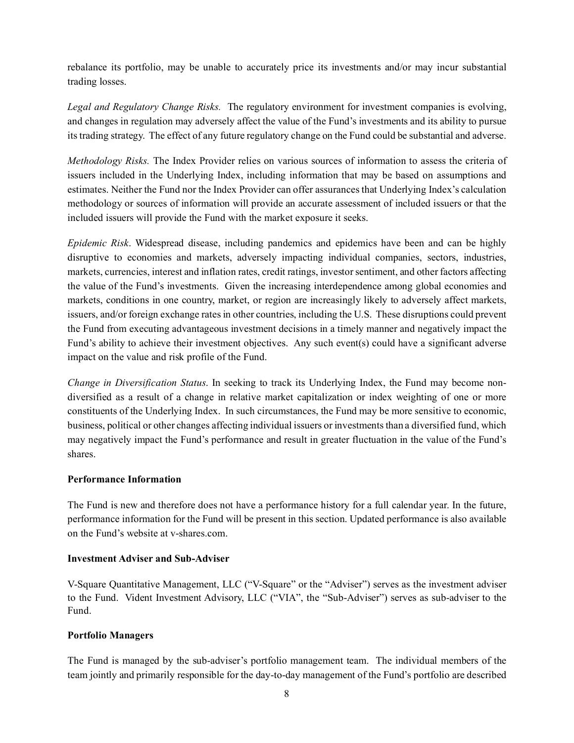rebalance its portfolio, may be unable to accurately price its investments and/or may incur substantial trading losses.

*Legal and Regulatory Change Risks.* The regulatory environment for investment companies is evolving, and changes in regulation may adversely affect the value of the Fund's investments and its ability to pursue its trading strategy. The effect of any future regulatory change on the Fund could be substantial and adverse.

*Methodology Risks.* The Index Provider relies on various sources of information to assess the criteria of issuers included in the Underlying Index, including information that may be based on assumptions and estimates. Neither the Fund nor the Index Provider can offer assurances that Underlying Index's calculation methodology or sources of information will provide an accurate assessment of included issuers or that the included issuers will provide the Fund with the market exposure it seeks.

*Epidemic Risk*. Widespread disease, including pandemics and epidemics have been and can be highly disruptive to economies and markets, adversely impacting individual companies, sectors, industries, markets, currencies, interest and inflation rates, credit ratings, investor sentiment, and other factors affecting the value of the Fund's investments. Given the increasing interdependence among global economies and markets, conditions in one country, market, or region are increasingly likely to adversely affect markets, issuers, and/or foreign exchange rates in other countries, including the U.S. These disruptions could prevent the Fund from executing advantageous investment decisions in a timely manner and negatively impact the Fund's ability to achieve their investment objectives. Any such event(s) could have a significant adverse impact on the value and risk profile of the Fund.

*Change in Diversification Status*. In seeking to track its Underlying Index, the Fund may become nondiversified as a result of a change in relative market capitalization or index weighting of one or more constituents of the Underlying Index. In such circumstances, the Fund may be more sensitive to economic, business, political or other changes affecting individual issuers or investments than a diversified fund, which may negatively impact the Fund's performance and result in greater fluctuation in the value of the Fund's shares.

### **Performance Information**

The Fund is new and therefore does not have a performance history for a full calendar year. In the future, performance information for the Fund will be present in this section. Updated performance is also available on the Fund's website at v-shares.com.

### **Investment Adviser and Sub-Adviser**

V-Square Quantitative Management, LLC ("V-Square" or the "Adviser") serves as the investment adviser to the Fund. Vident Investment Advisory, LLC ("VIA", the "Sub-Adviser") serves as sub-adviser to the Fund.

### **Portfolio Managers**

The Fund is managed by the sub-adviser's portfolio management team. The individual members of the team jointly and primarily responsible for the day-to-day management of the Fund's portfolio are described